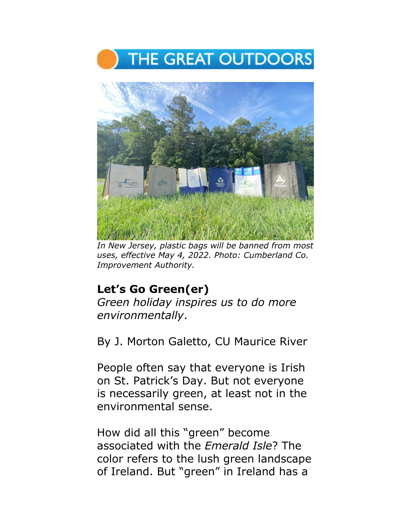



*In New Jersey, plastic bags will be banned from most uses, effective May 4, 2022. Photo: Cumberland Co. Improvement Authority.* 

## **Let's Go Green(er)**

*Green holiday inspires us to do more environmentally*.

By J. Morton Galetto, CU Maurice River

People often say that everyone is Irish on St. Patrick's Day. But not everyone is necessarily green, at least not in the environmental sense.

How did all this "green" become associated with the *Emerald Isle*? The color refers to the lush green landscape of Ireland. But "green" in Ireland has a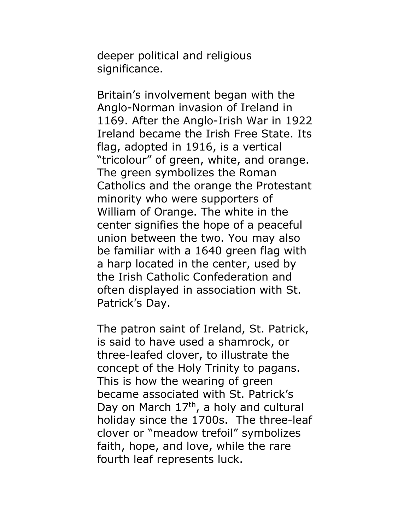deeper political and religious significance.

Britain's involvement began with the Anglo-Norman invasion of Ireland in 1169. After the Anglo-Irish War in 1922 Ireland became the Irish Free State. Its flag, adopted in 1916, is a vertical "tricolour" of green, white, and orange. The green symbolizes the Roman Catholics and the orange the Protestant minority who were supporters of William of Orange. The white in the center signifies the hope of a peaceful union between the two. You may also be familiar with a 1640 green flag with a harp located in the center, used by the Irish Catholic Confederation and often displayed in association with St. Patrick's Day.

The patron saint of Ireland, St. Patrick, is said to have used a shamrock, or three-leafed clover, to illustrate the concept of the Holy Trinity to pagans. This is how the wearing of green became associated with St. Patrick's Day on March  $17<sup>th</sup>$ , a holy and cultural holiday since the 1700s. The three-leaf clover or "meadow trefoil" symbolizes faith, hope, and love, while the rare fourth leaf represents luck.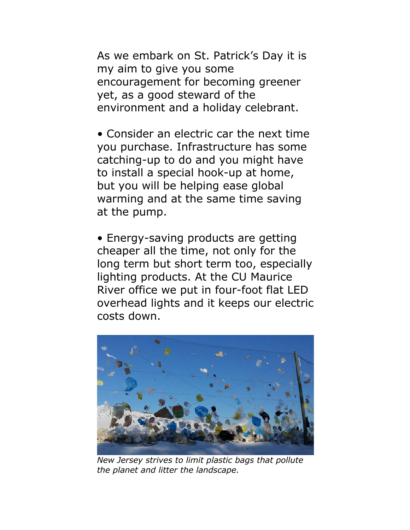As we embark on St. Patrick's Day it is my aim to give you some encouragement for becoming greener yet, as a good steward of the environment and a holiday celebrant.

• Consider an electric car the next time you purchase. Infrastructure has some catching-up to do and you might have to install a special hook-up at home, but you will be helping ease global warming and at the same time saving at the pump.

• Energy-saving products are getting cheaper all the time, not only for the long term but short term too, especially lighting products. At the CU Maurice River office we put in four-foot flat LED overhead lights and it keeps our electric costs down.



*New Jersey strives to limit plastic bags that pollute the planet and litter the landscape.*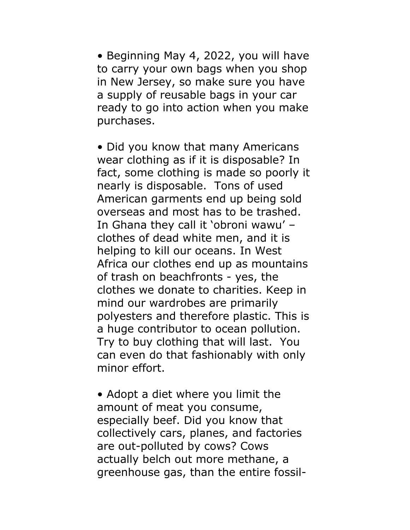• Beginning May 4, 2022, you will have to carry your own bags when you shop in New Jersey, so make sure you have a supply of reusable bags in your car ready to go into action when you make purchases.

• Did you know that many Americans wear clothing as if it is disposable? In fact, some clothing is made so poorly it nearly is disposable. Tons of used American garments end up being sold overseas and most has to be trashed. In Ghana they call it 'obroni wawu' – clothes of dead white men, and it is helping to kill our oceans. In West Africa our clothes end up as mountains of trash on beachfronts - yes, the clothes we donate to charities. Keep in mind our wardrobes are primarily polyesters and therefore plastic. This is a huge contributor to ocean pollution. Try to buy clothing that will last. You can even do that fashionably with only minor effort.

• Adopt a diet where you limit the amount of meat you consume, especially beef. Did you know that collectively cars, planes, and factories are out-polluted by cows? Cows actually belch out more methane, a greenhouse gas, than the entire fossil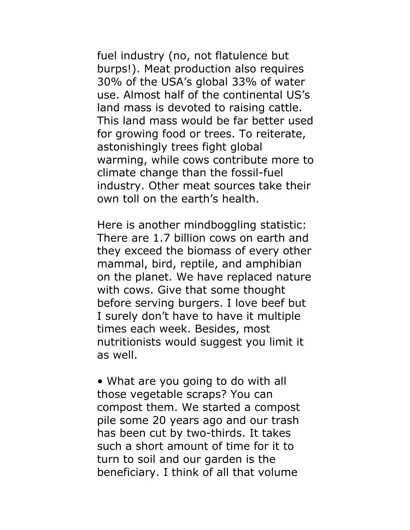fuel industry (no, not flatulence but burps!). Meat production also requires 30% of the USA's global 33% of water use. Almost half of the continental US's land mass is devoted to raising cattle. This land mass would be far better used for growing food or trees. To reiterate, astonishingly trees fight global warming, while cows contribute more to climate change than the fossil-fuel industry. Other meat sources take their own toll on the earth's health.

Here is another mindboggling statistic: There are 1.7 billion cows on earth and they exceed the biomass of every other mammal, bird, reptile, and amphibian on the planet. We have replaced nature with cows. Give that some thought before serving burgers. I love beef but I surely don't have to have it multiple times each week. Besides, most nutritionists would suggest you limit it as well.

• What are you going to do with all those vegetable scraps? You can compost them. We started a compost pile some 20 years ago and our trash has been cut by two-thirds. It takes such a short amount of time for it to turn to soil and our garden is the beneficiary. I think of all that volume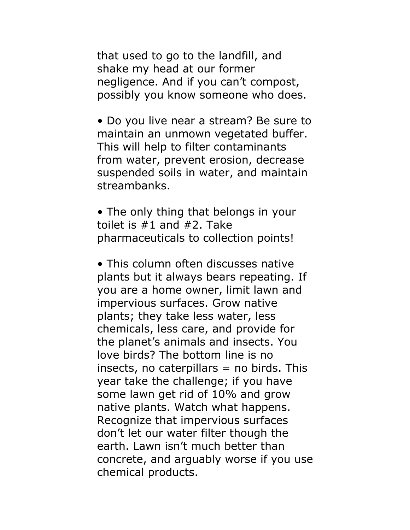that used to go to the landfill, and shake my head at our former negligence. And if you can't compost, possibly you know someone who does.

• Do you live near a stream? Be sure to maintain an unmown vegetated buffer. This will help to filter contaminants from water, prevent erosion, decrease suspended soils in water, and maintain streambanks.

• The only thing that belongs in your toilet is  $#1$  and  $#2$ . Take pharmaceuticals to collection points!

• This column often discusses native plants but it always bears repeating. If you are a home owner, limit lawn and impervious surfaces. Grow native plants; they take less water, less chemicals, less care, and provide for the planet's animals and insects. You love birds? The bottom line is no insects, no caterpillars  $=$  no birds. This year take the challenge; if you have some lawn get rid of 10% and grow native plants. Watch what happens. Recognize that impervious surfaces don't let our water filter though the earth. Lawn isn't much better than concrete, and arguably worse if you use chemical products.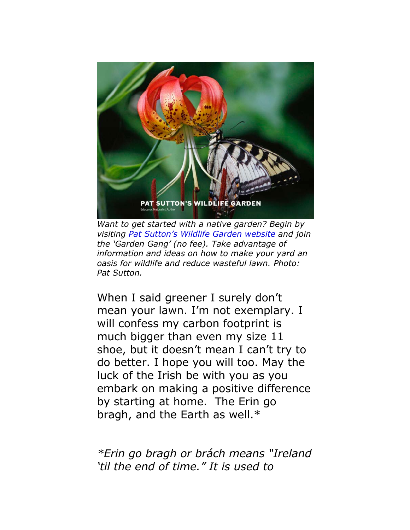

*Want to get started with a native garden? Begin by visiting Pat Sutton's Wildlife Garden website and join the 'Garden Gang' (no fee). Take advantage of [information and ideas on how to make your yard](http://www.patsuttonwildlifegarden.com) an oasis for wildlife and reduce wasteful lawn. Photo: Pat Sutton.* 

When I said greener I surely don't mean your lawn. I'm not exemplary. I will confess my carbon footprint is much bigger than even my size 11 shoe, but it doesn't mean I can't try to do better. I hope you will too. May the luck of the Irish be with you as you embark on making a positive difference by starting at home. The Erin go bragh, and the Earth as well.\*

*\*Erin go bragh or brách means "Ireland 'til the end of time." It is used to*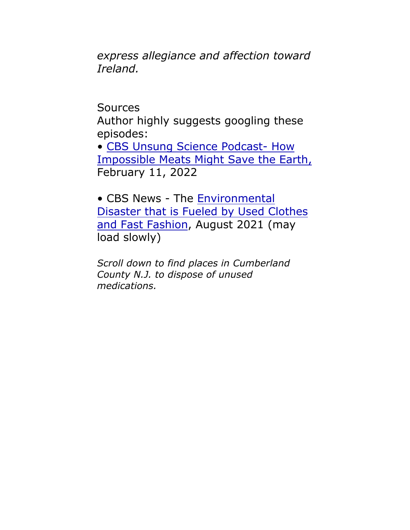*express allegiance and affection toward Ireland.*

Sources

Author highly suggests googling these episodes:

• CBS Unsung Science [Podcast- How](https://unsungscience.com/the-podcast/season-1/how-impossible-meats-might-save-the-earth/) Impossible Meats Might Save the Earth, February 11, 2022

• CBS News - The [Environmental](https://www.cbsnews.com/video/fast-fashion-clothing-donations-environmental-strain-ghana-africa/#x) Disaster that is Fueled by Used Clothes and Fast Fashion, August 2021 (may load slowly)

*Scroll down to find places in Cumberland County N.J. to dispose of unused medications.*